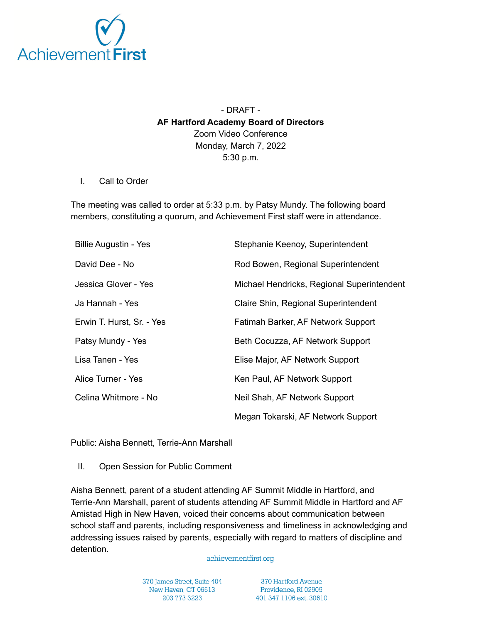

- DRAFT - **AF Hartford Academy Board of Directors** Zoom Video Conference Monday, March 7, 2022 5:30 p.m.

## I. Call to Order

The meeting was called to order at 5:33 p.m. by Patsy Mundy. The following board members, constituting a quorum, and Achievement First staff were in attendance.

| <b>Billie Augustin - Yes</b> | Stephanie Keenoy, Superintendent           |
|------------------------------|--------------------------------------------|
| David Dee - No               | Rod Bowen, Regional Superintendent         |
| Jessica Glover - Yes         | Michael Hendricks, Regional Superintendent |
| Ja Hannah - Yes              | Claire Shin, Regional Superintendent       |
| Erwin T. Hurst, Sr. - Yes    | Fatimah Barker, AF Network Support         |
| Patsy Mundy - Yes            | Beth Cocuzza, AF Network Support           |
| Lisa Tanen - Yes             | Elise Major, AF Network Support            |
| Alice Turner - Yes           | Ken Paul, AF Network Support               |
| Celina Whitmore - No         | Neil Shah, AF Network Support              |
|                              | Megan Tokarski, AF Network Support         |

Public: Aisha Bennett, Terrie-Ann Marshall

II. Open Session for Public Comment

Aisha Bennett, parent of a student attending AF Summit Middle in Hartford, and Terrie-Ann Marshall, parent of students attending AF Summit Middle in Hartford and AF Amistad High in New Haven, voiced their concerns about communication between school staff and parents, including responsiveness and timeliness in acknowledging and addressing issues raised by parents, especially with regard to matters of discipline and detention.

## achievementfirst.org

370 James Street, Suite 404 New Haven, CT 06513 203 773 3223

370 Hartford Avenue Providence, RI 02909 401 347 1106 ext. 30610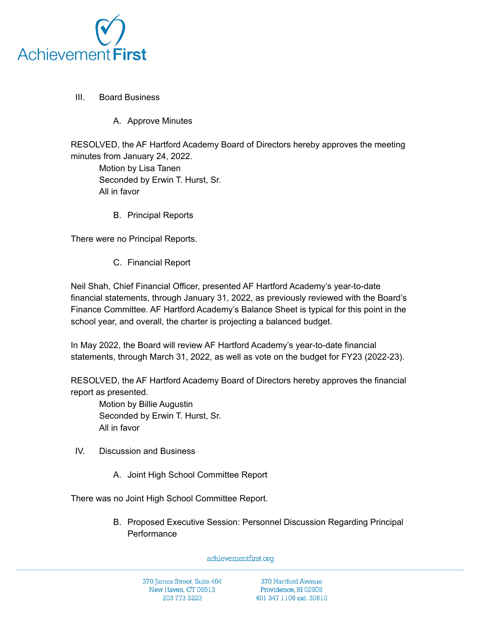

- III. Board Business
	- A. Approve Minutes

RESOLVED, the AF Hartford Academy Board of Directors hereby approves the meeting minutes from January 24, 2022.

Motion by Lisa Tanen Seconded by Erwin T. Hurst, Sr. All in favor

B. Principal Reports

There were no Principal Reports.

C. Financial Report

Neil Shah, Chief Financial Officer, presented AF Hartford Academy's year-to-date financial statements, through January 31, 2022, as previously reviewed with the Board's Finance Committee. AF Hartford Academy's Balance Sheet is typical for this point in the school year, and overall, the charter is projecting a balanced budget.

In May 2022, the Board will review AF Hartford Academy's year-to-date financial statements, through March 31, 2022, as well as vote on the budget for FY23 (2022-23).

RESOLVED, the AF Hartford Academy Board of Directors hereby approves the financial report as presented.

Motion by Billie Augustin Seconded by Erwin T. Hurst, Sr. All in favor

- IV. Discussion and Business
	- A. Joint High School Committee Report

There was no Joint High School Committee Report.

B. Proposed Executive Session: Personnel Discussion Regarding Principal **Performance** 

achievementfirst.org